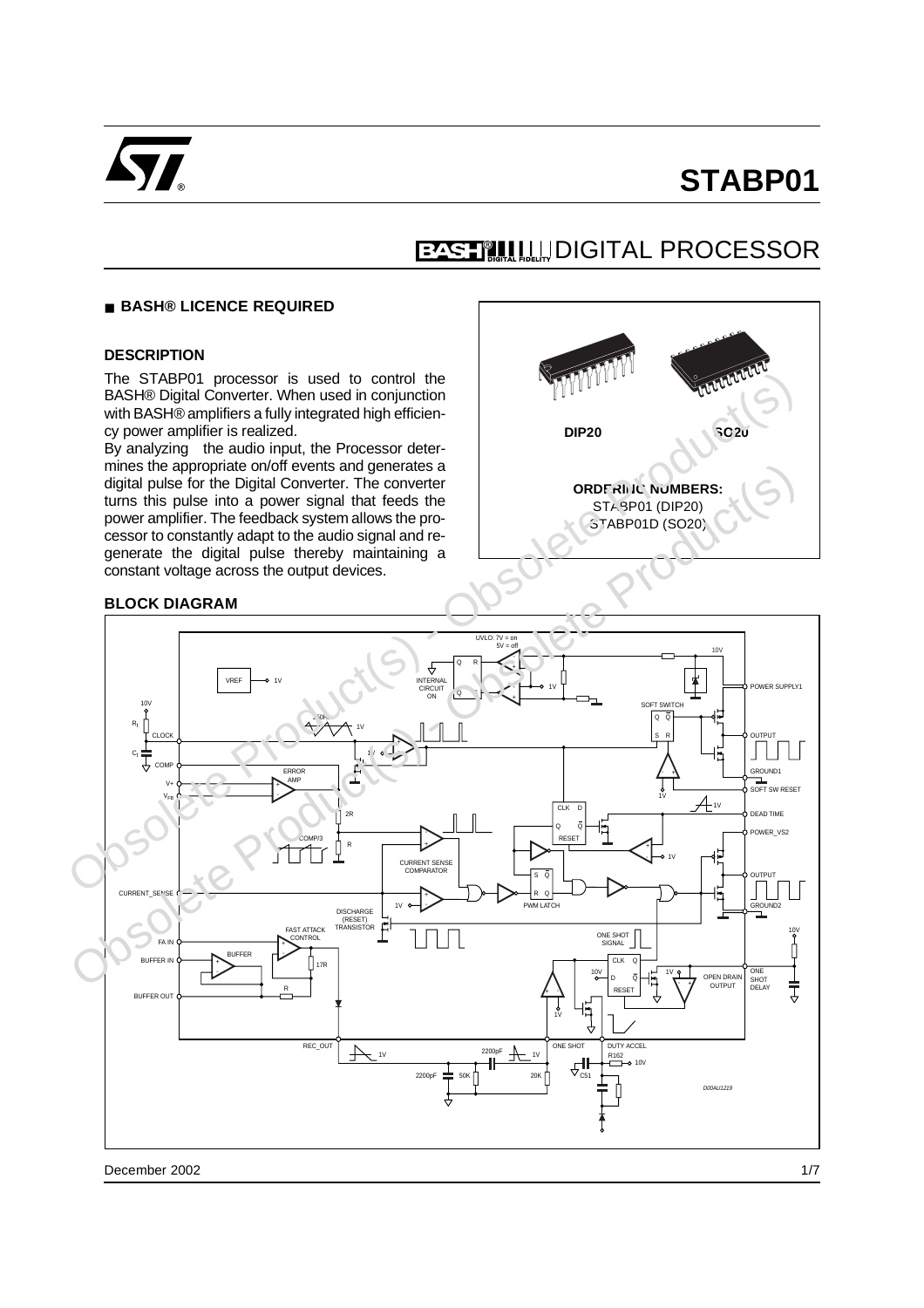

## **EASHILL DIGITAL PROCESSOR**

#### ■ **BASH® LICENCE REQUIRED**

#### **DESCRIPTION**

The STABP01 processor is used to control the BASH® Digital Converter. When used in conjunction with BASH® amplifiers a fully integrated high efficiency power amplifier is realized.

By analyzing the audio input, the Processor determines the appropriate on/off events and generates a digital pulse for the Digital Converter. The converter turns this pulse into a power signal that feeds the power amplifier. The feedback system allows the processor to constantly adapt to the audio signal and regenerate the digital pulse thereby maintaining a constant voltage across the output devices.



#### **BLOCK DIAGRAM**

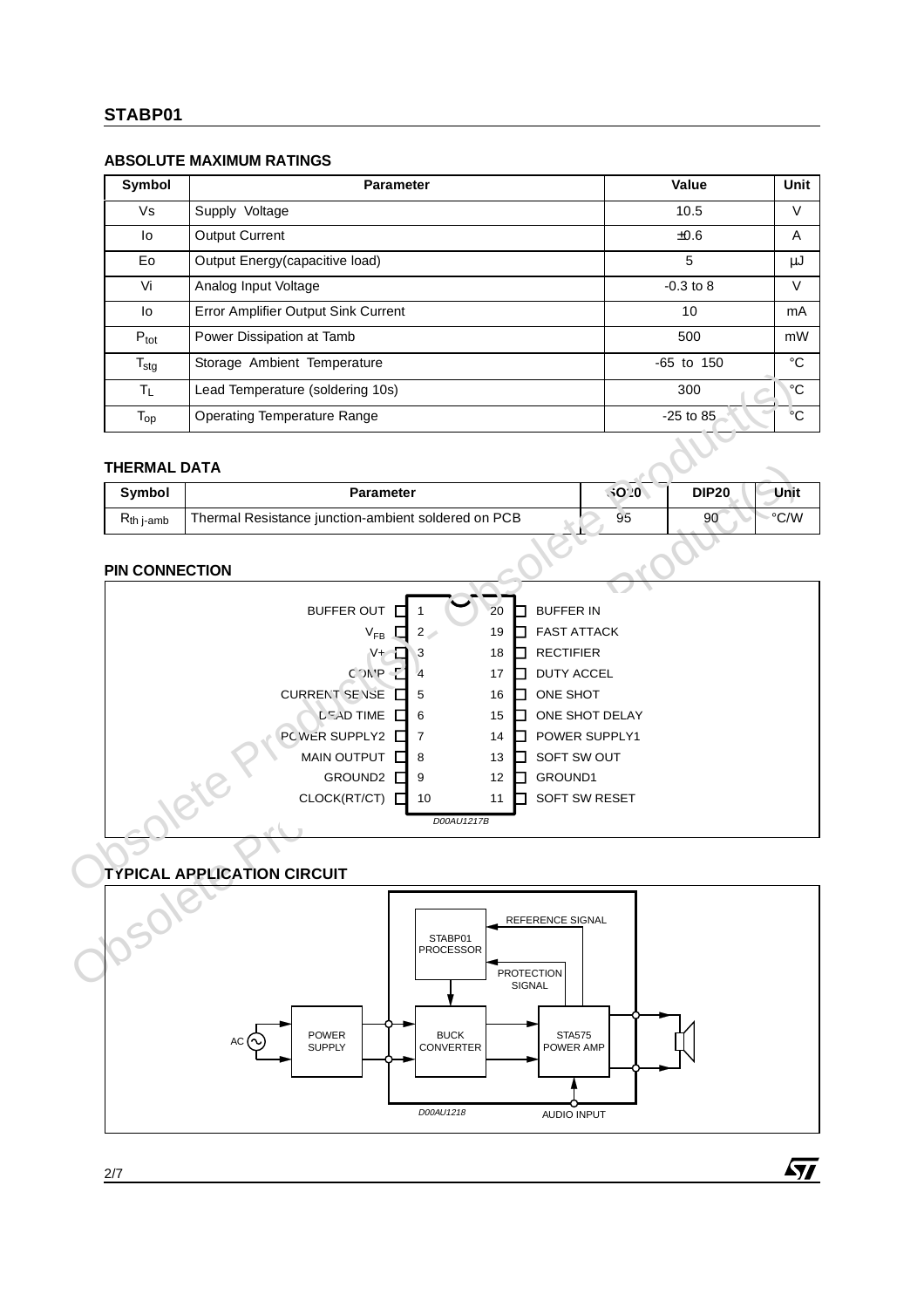#### **ABSOLUTE MAXIMUM RATINGS**

| Symbol           | <b>Parameter</b>                    | Value          | Unit        |
|------------------|-------------------------------------|----------------|-------------|
| Vs               | Supply Voltage                      | 10.5           | V           |
| lo               | <b>Output Current</b>               | $\pm 0.6$      | A           |
| Eo               | Output Energy (capacitive load)     | 5              | μJ          |
| Vi               | Analog Input Voltage                | $-0.3$ to 8    | V           |
| lo               | Error Amplifier Output Sink Current | 10             | mA          |
| $P_{\text{tot}}$ | Power Dissipation at Tamb           | 500            | mW          |
| $T_{\text{stg}}$ | Storage Ambient Temperature         | $-65$ to $150$ | $^{\circ}C$ |
| ΤL               | Lead Temperature (soldering 10s)    | 300            | °C          |
| $T_{op}$         | <b>Operating Temperature Range</b>  | $-25$ to 85    | °С          |

#### **THERMAL DATA**

| Symbol                 | <b>Parameter</b>                                    | \$020 | Unit<br><b>DIP20</b> |
|------------------------|-----------------------------------------------------|-------|----------------------|
| $R_{th\ i\text{-amb}}$ | Thermal Resistance junction-ambient soldered on PCB | 95    | °C/W<br>90           |

#### **PIN CONNECTION**

| $T_L$                 | Lead Temperature (soldering 10s)                                                    |      | 300           | $^{\circ}C$ |
|-----------------------|-------------------------------------------------------------------------------------|------|---------------|-------------|
| $T_{op}$              | <b>Operating Temperature Range</b>                                                  |      | $-25$ to $85$ | °С          |
| <b>THERMAL DATA</b>   |                                                                                     |      |               |             |
| Symbol                | <b>Parameter</b>                                                                    | 3020 | <b>DIP20</b>  | Unit        |
| $R_{th}$ j-amb        | Thermal Resistance junction-ambient soldered on PCB                                 | 95   | 90            | °C/W        |
| <b>PIN CONNECTION</b> |                                                                                     |      |               |             |
|                       | <b>BUFFER OUT</b><br>20<br><b>BUFFER IN</b>                                         |      |               |             |
|                       | <b>FAST ATTACK</b><br>$V_{FB}$<br>$2\degree$<br>19                                  |      |               |             |
|                       | <b>RECTIFIER</b><br>$V +$<br>18<br>3                                                |      |               |             |
|                       | D<br>$C^{\prime}$ $N$ <sup>r</sup> $P$<br><b>DUTY ACCEL</b><br>17<br>$\overline{4}$ |      |               |             |
|                       | <b>CURRENT SENSE</b><br>ONE SHOT<br>5<br>16                                         |      |               |             |
|                       | <b>DEAD TIME</b><br>ONE SHOT DELAY<br>15<br>6                                       |      |               |             |
|                       | PCWER SUPPLY2 L<br>POWER SUPPLY1<br>$\overline{7}$<br>14                            |      |               |             |
|                       | MAIN OUTPUT<br>SOFT SW OUT<br>8<br>13                                               |      |               |             |
|                       | GROUND2<br>GROUND1<br>9<br>12<br>CLOCK(RT/CT)                                       |      |               |             |
|                       | SOFT SW RESET<br>10<br>11                                                           |      |               |             |
|                       | D00AU1217B                                                                          |      |               |             |
|                       |                                                                                     |      |               |             |
|                       | <b>TYPICAL APPLICATION CIRCUIT</b>                                                  |      |               |             |
|                       | REFERENCE SIGNAL<br>STABP01<br><b>PROCESSOR</b><br><b>PROTECTION</b>                |      |               |             |

## **TYPICAL APPLICATION CIRCUIT**



 $\sqrt{1}$ 

2/7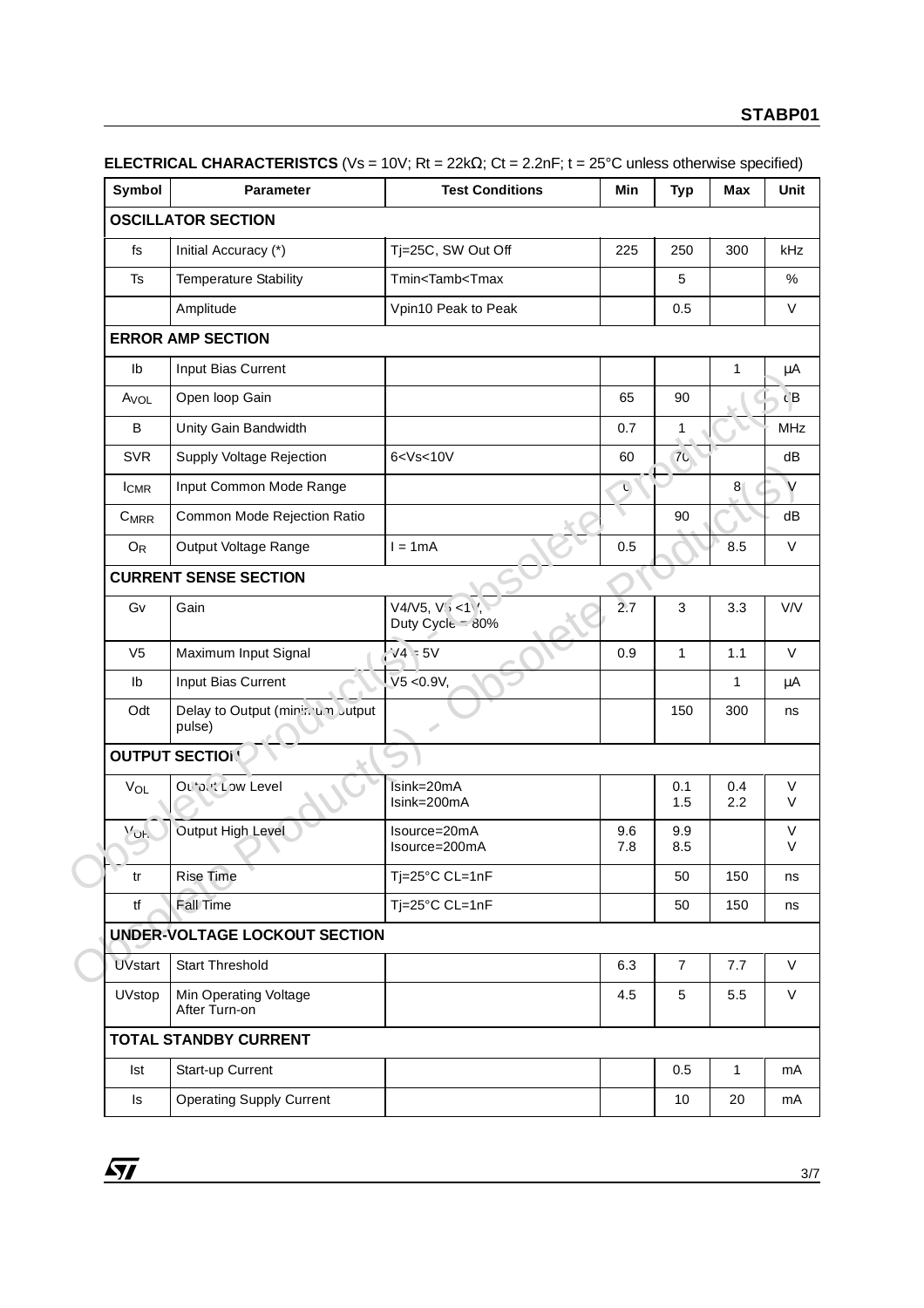| Symbol            | <b>Parameter</b>                            | <b>Test Conditions</b>                                                    | Min        | <b>Typ</b>     | Max            |  |
|-------------------|---------------------------------------------|---------------------------------------------------------------------------|------------|----------------|----------------|--|
|                   | <b>OSCILLATOR SECTION</b>                   |                                                                           |            |                |                |  |
| fs                | Initial Accuracy (*)                        | Tj=25C, SW Out Off                                                        | 225        | 250            | 300            |  |
| Ts                | <b>Temperature Stability</b>                | Tmin <tamb<tmax< td=""><td></td><td>5</td><td></td><td></td></tamb<tmax<> |            | 5              |                |  |
|                   | Amplitude                                   | Vpin10 Peak to Peak                                                       |            | 0.5            |                |  |
|                   | <b>ERROR AMP SECTION</b>                    |                                                                           |            |                |                |  |
| Ib                | Input Bias Current                          |                                                                           |            |                | $\mathbf{1}$   |  |
| A <sub>VOL</sub>  | Open loop Gain                              |                                                                           | 65         | 90             |                |  |
| B                 | Unity Gain Bandwidth                        |                                                                           | 0.7        | 1              |                |  |
| <b>SVR</b>        | Supply Voltage Rejection                    | 6 < Vs < 10V                                                              | 60         | $70^{\circ}$   |                |  |
| $I_{CMR}$         | Input Common Mode Range                     |                                                                           | Ù          |                | 8 <sub>1</sub> |  |
| $C_{MRR}$         | Common Mode Rejection Ratio                 |                                                                           |            | 90             |                |  |
| $O_{R}$           | Output Voltage Range                        | $l = 1mA$                                                                 | 0.5        |                | 8.5            |  |
|                   | <b>CURRENT SENSE SECTION</b>                |                                                                           |            |                |                |  |
| Gv                | Gain                                        | $V4/V5, V_{i} < 1$ ,<br>Duty Cycle 30%                                    | 2.7        | 3              | 3.3            |  |
| V <sub>5</sub>    | Maximum Input Signal                        | $1/4 = 5V$                                                                | 0.9        | $\mathbf{1}$   | 1.1            |  |
| Ib                | Input Bias Current                          | V5 < 0.9V,                                                                |            |                | $\mathbf{1}$   |  |
| Odt               | Delay to Output (minin u.m Jutput<br>pulse) | s                                                                         |            | 150            | 300            |  |
|                   | <b>OUTPUT SECTION</b>                       |                                                                           |            |                |                |  |
| VOL               | Outbut Low Level                            | Isink=20mA<br>Isink=200mA                                                 |            | 0.1<br>1.5     | 0.4<br>2.2     |  |
| $M_{\mathrm{OH}}$ | Output High Level                           | Isource=20mA<br>Isource=200mA                                             | 9.6<br>7.8 | 9.9<br>8.5     |                |  |
| tr                | <b>Rise Time</b>                            | Tj=25°C CL=1nF                                                            |            | 50             | 150            |  |
| tf                | Fall Time                                   | Tj=25°C CL=1nF                                                            |            | 50             | 150            |  |
|                   | <b>UNDER-VOLTAGE LOCKOUT SECTION</b>        |                                                                           |            |                |                |  |
| <b>UVstart</b>    | <b>Start Threshold</b>                      |                                                                           | 6.3        | $\overline{7}$ | 7.7            |  |
| UVstop            | Min Operating Voltage<br>After Turn-on      |                                                                           | 4.5        | 5              | 5.5            |  |
|                   | <b>TOTAL STANDBY CURRENT</b>                |                                                                           |            |                |                |  |
| <b>Ist</b>        | Start-up Current                            |                                                                           |            | 0.5            | $\mathbf{1}$   |  |
| Is                | <b>Operating Supply Current</b>             |                                                                           |            | 10             | 20             |  |

**ELECTRICAL CHARACTERISTCS** (Vs = 10V; Rt = 22kΩ; Ct = 2.2nF; t = 25°C unless otherwise specified)

 $\overline{SI}$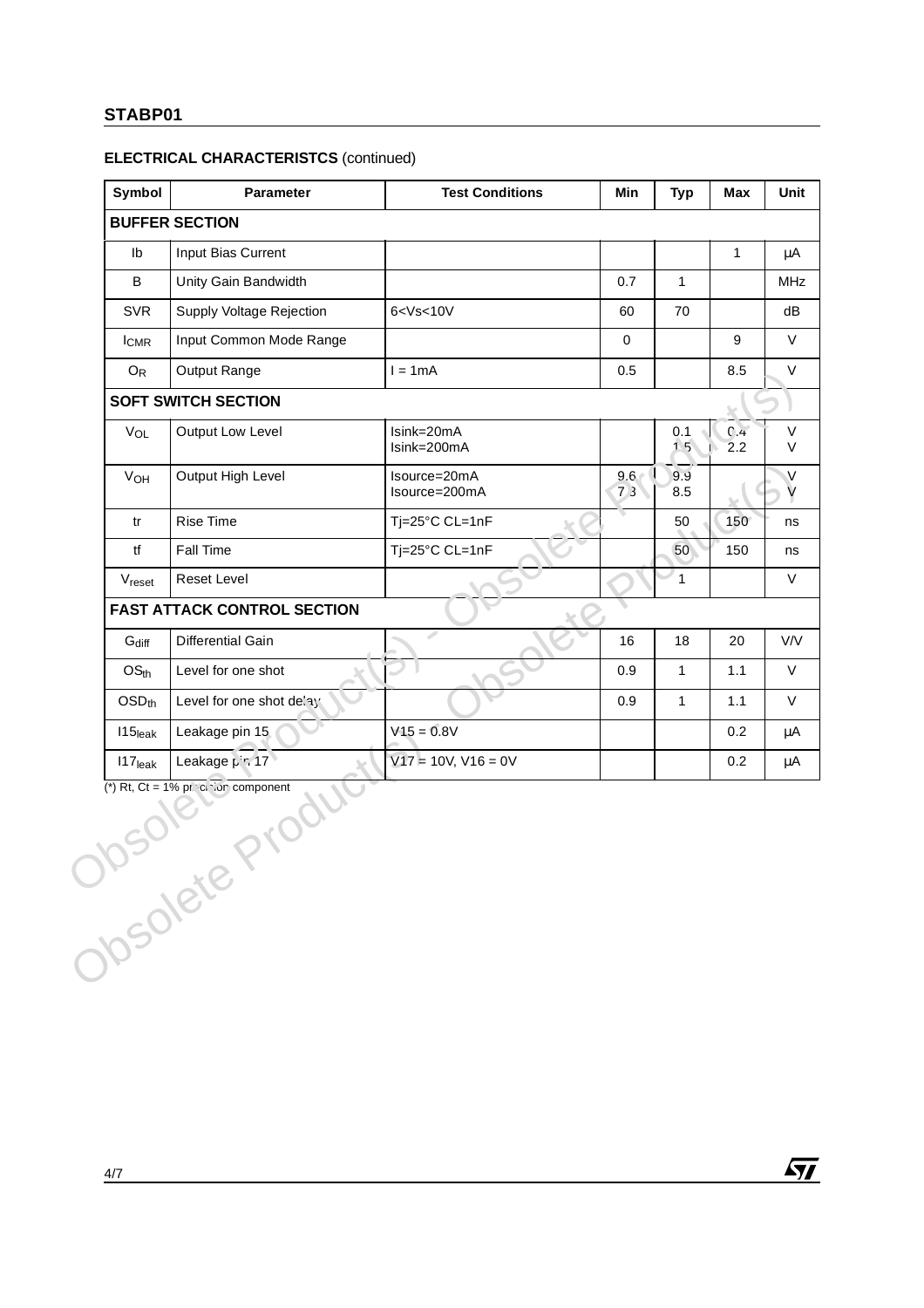#### **ELECTRICAL CHARACTERISTCS** (continued)

|                       | <b>Parameter</b>                   | <b>Test Conditions</b>        | Min         | <b>Typ</b>   | Max          |
|-----------------------|------------------------------------|-------------------------------|-------------|--------------|--------------|
|                       | <b>BUFFER SECTION</b>              |                               |             |              |              |
| Ib                    | Input Bias Current                 |                               |             |              | $\mathbf{1}$ |
| B                     | Unity Gain Bandwidth               |                               | 0.7         | $\mathbf{1}$ |              |
| <b>SVR</b>            | Supply Voltage Rejection           | 6 < Vs < 10V                  | 60          | 70           |              |
| $I_{CMR}$             | Input Common Mode Range            |                               | $\mathbf 0$ |              | 9            |
| $O_{R}$               | Output Range                       | $l = 1mA$                     | 0.5         |              | 8.5          |
|                       | <b>SOFT SWITCH SECTION</b>         |                               |             |              |              |
| VOL                   | Output Low Level                   | Isink=20mA<br>Isink=200mA     |             | 0.1<br>15    | C.4<br>2.2   |
| V <sub>OH</sub>       | Output High Level                  | Isource=20mA<br>Isource=200mA | 9.6<br>73   | 9.9<br>8.5   |              |
| tr                    | Rise Time                          | Tj=25°C CL=1nF                |             | 50           | $150^\circ$  |
| tf                    | Fall Time                          | Tj=25°C CL=1nF                |             | 50           | 150          |
| V <sub>reset</sub>    | Reset Level                        |                               |             | $\mathbf{1}$ |              |
|                       | <b>FAST ATTACK CONTROL SECTION</b> |                               |             |              |              |
| $G_{diff}$            | Differential Gain                  | Í                             | 16          | 18           | 20           |
| OS <sub>th</sub>      | Level for one shot                 |                               | 0.9         | $\mathbf{1}$ | 1.1          |
| $OSD_{th}$            | Level for one shot de'ay           |                               | 0.9         | $\mathbf{1}$ | 1.1          |
| $115$ <sub>leak</sub> | Leakage pin 15                     | $V15 = 0.8V$                  |             |              | 0.2          |
|                       | Leakage pin 17<br>Opsolete Pro     | $V17 = 10V, V16 = 0V$         |             |              | 0.2          |

 $\sqrt{M}$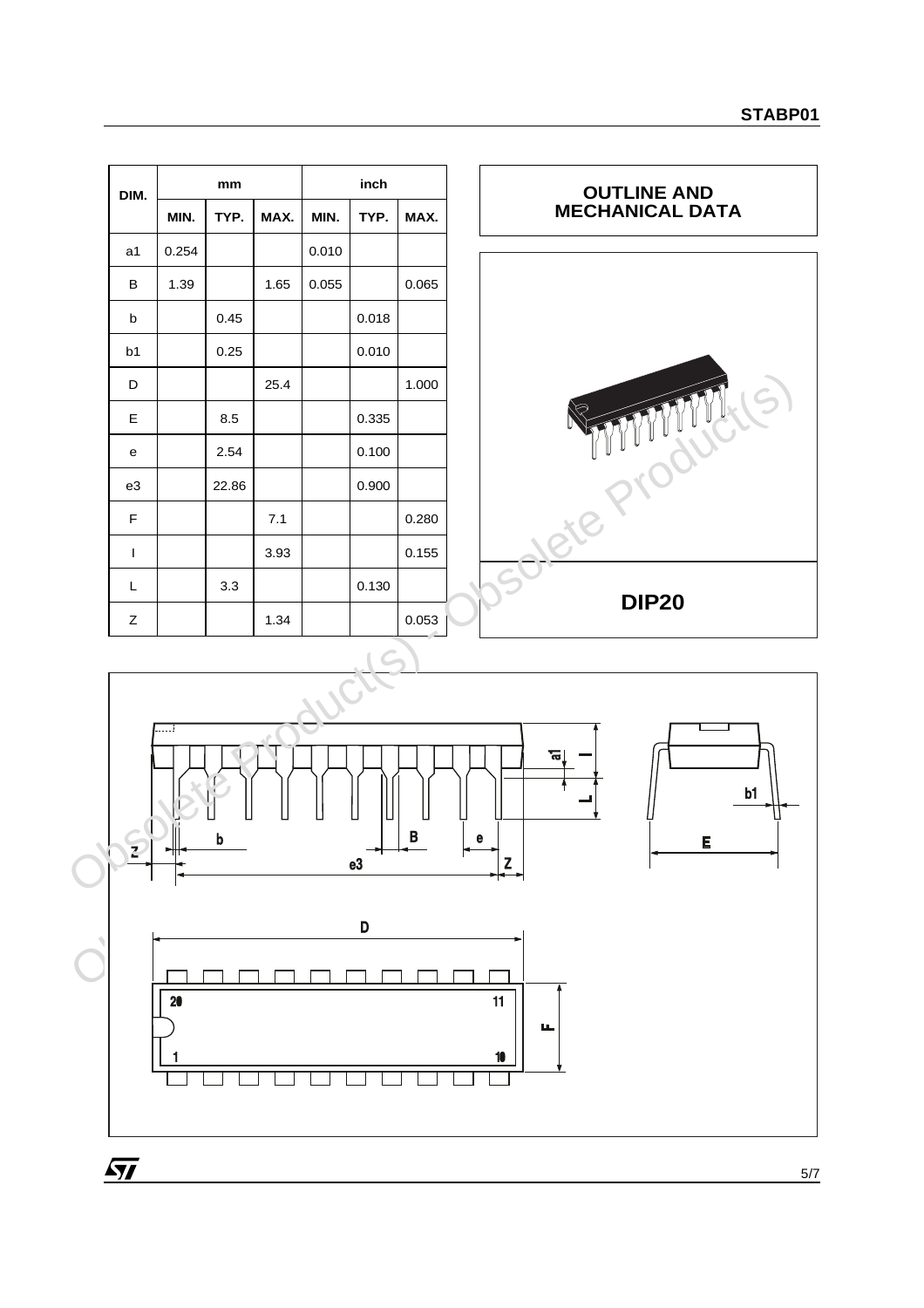| DIM.           |       | mm    |      |       | inch  |       |
|----------------|-------|-------|------|-------|-------|-------|
|                | MIN.  | TYP.  | MAX. | MIN.  | TYP.  | MAX.  |
| a1             | 0.254 |       |      | 0.010 |       |       |
| B              | 1.39  |       | 1.65 | 0.055 |       | 0.065 |
| b              |       | 0.45  |      |       | 0.018 |       |
| b <sub>1</sub> |       | 0.25  |      |       | 0.010 |       |
| D              |       |       | 25.4 |       |       | 1.000 |
| E              |       | 8.5   |      |       | 0.335 |       |
| e              |       | 2.54  |      |       | 0.100 |       |
| e <sub>3</sub> |       | 22.86 |      |       | 0.900 |       |
| $\mathsf F$    |       |       | 7.1  |       |       | 0.280 |
| $\mathbf{I}$   |       |       | 3.93 |       |       | 0.155 |
| L              |       | 3.3   |      |       | 0.130 |       |
| Z              |       |       | 1.34 |       |       | 0.053 |



 $\overline{SI}$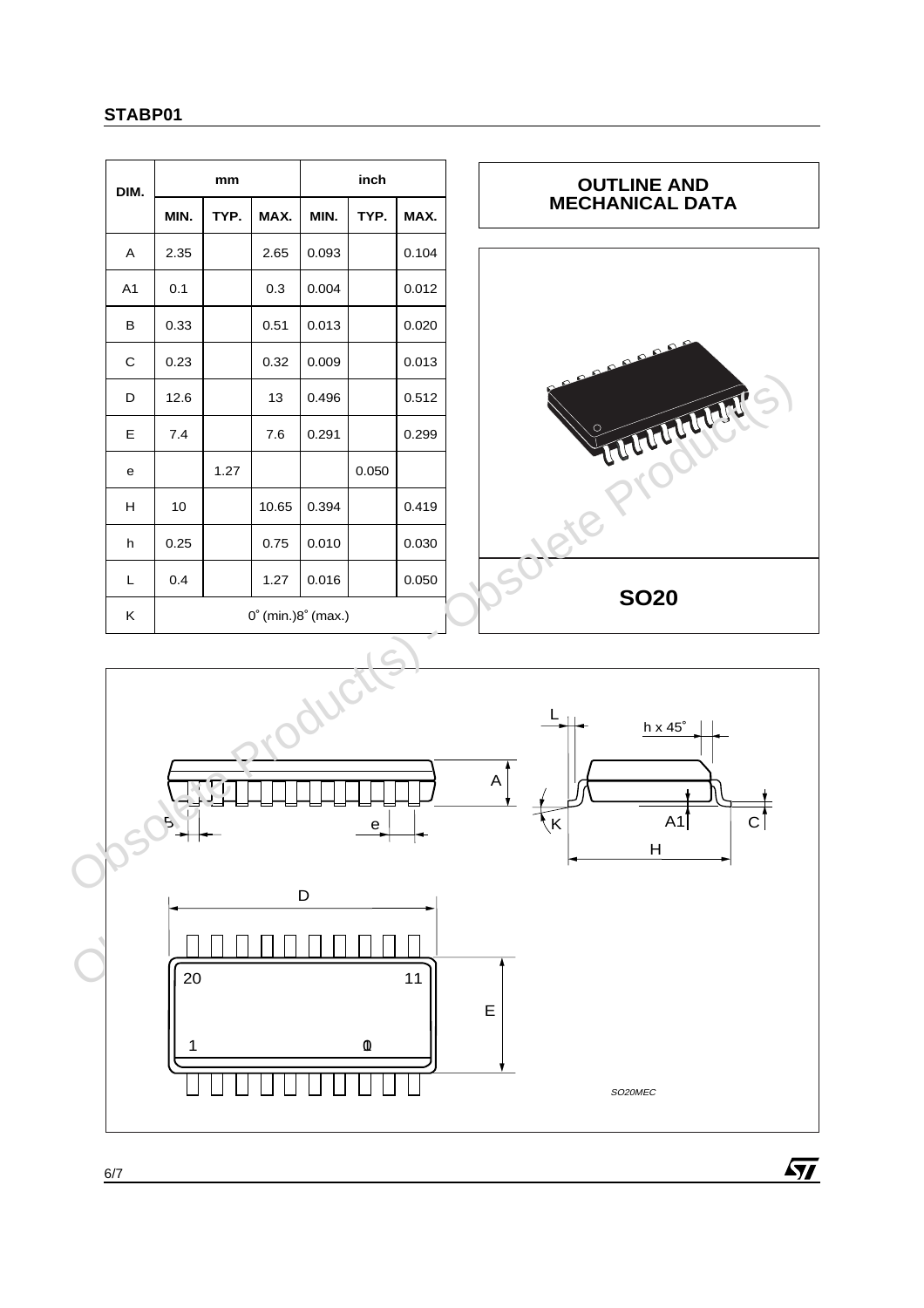| DIM.           |                                       | mm   |       | inch  |       |       |  |
|----------------|---------------------------------------|------|-------|-------|-------|-------|--|
|                | MIN.                                  | TYP. | MAX.  | MIN.  | TYP.  | MAX.  |  |
| A              | 2.35                                  |      | 2.65  | 0.093 |       | 0.104 |  |
| A <sub>1</sub> | 0.1                                   |      | 0.3   | 0.004 |       | 0.012 |  |
| В              | 0.33                                  |      | 0.51  | 0.013 |       | 0.020 |  |
| C              | 0.23                                  |      | 0.32  | 0.009 |       | 0.013 |  |
| D              | 12.6                                  |      | 13    | 0.496 |       | 0.512 |  |
| Е              | 7.4                                   |      | 7.6   | 0.291 |       | 0.299 |  |
| е              |                                       | 1.27 |       |       | 0.050 |       |  |
| н              | 10                                    |      | 10.65 | 0.394 |       | 0.419 |  |
| h              | 0.25                                  |      | 0.75  | 0.010 |       | 0.030 |  |
| L              | 0.4                                   |      | 1.27  | 0.016 |       | 0.050 |  |
| ĸ              | $0^{\circ}$ (min.) $8^{\circ}$ (max.) |      |       |       |       |       |  |



 $\sqrt{M}$